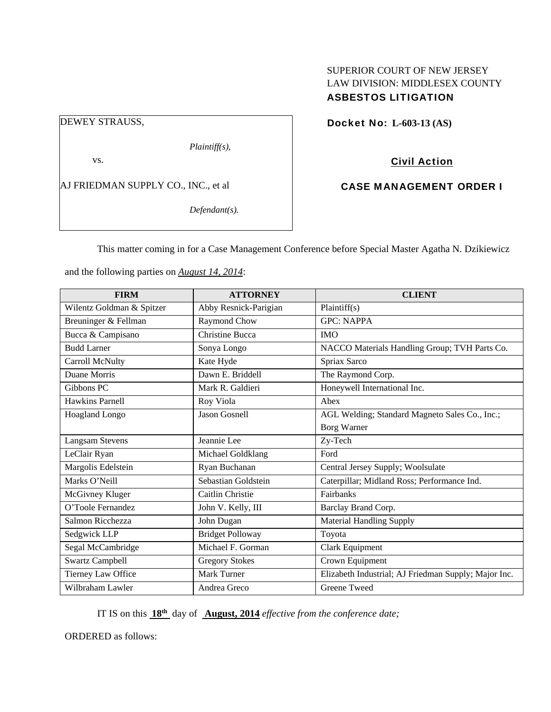# SUPERIOR COURT OF NEW JERSEY LAW DIVISION: MIDDLESEX COUNTY ASBESTOS LITIGATION

DEWEY STRAUSS,

*Plaintiff(s),* 

vs.

AJ FRIEDMAN SUPPLY CO., INC., et al

*Defendant(s).* 

Docket No: **L-603-13 (AS)** 

Civil Action

CASE MANAGEMENT ORDER I

This matter coming in for a Case Management Conference before Special Master Agatha N. Dzikiewicz

and the following parties on *August 14, 2014*:

| <b>FIRM</b>               | <b>ATTORNEY</b>         | <b>CLIENT</b>                                        |
|---------------------------|-------------------------|------------------------------------------------------|
| Wilentz Goldman & Spitzer | Abby Resnick-Parigian   | Plaintiff(s)                                         |
| Breuninger & Fellman      | Raymond Chow            | <b>GPC: NAPPA</b>                                    |
| Bucca & Campisano         | <b>Christine Bucca</b>  | <b>IMO</b>                                           |
| <b>Budd Larner</b>        | Sonya Longo             | NACCO Materials Handling Group; TVH Parts Co.        |
| Carroll McNulty           | Kate Hyde               | Spriax Sarco                                         |
| Duane Morris              | Dawn E. Briddell        | The Raymond Corp.                                    |
| Gibbons PC                | Mark R. Galdieri        | Honeywell International Inc.                         |
| <b>Hawkins Parnell</b>    | Roy Viola               | Abex                                                 |
| Hoagland Longo            | <b>Jason Gosnell</b>    | AGL Welding; Standard Magneto Sales Co., Inc.;       |
|                           |                         | <b>Borg Warner</b>                                   |
| <b>Langsam Stevens</b>    | Jeannie Lee             | Zy-Tech                                              |
| LeClair Ryan              | Michael Goldklang       | Ford                                                 |
| Margolis Edelstein        | Ryan Buchanan           | Central Jersey Supply; Woolsulate                    |
| Marks O'Neill             | Sebastian Goldstein     | Caterpillar; Midland Ross; Performance Ind.          |
| McGivney Kluger           | Caitlin Christie        | Fairbanks                                            |
| O'Toole Fernandez         | John V. Kelly, III      | Barclay Brand Corp.                                  |
| Salmon Ricchezza          | John Dugan              | <b>Material Handling Supply</b>                      |
| Sedgwick LLP              | <b>Bridget Polloway</b> | Toyota                                               |
| Segal McCambridge         | Michael F. Gorman       | Clark Equipment                                      |
| <b>Swartz Campbell</b>    | <b>Gregory Stokes</b>   | Crown Equipment                                      |
| Tierney Law Office        | <b>Mark Turner</b>      | Elizabeth Industrial; AJ Friedman Supply; Major Inc. |
| Wilbraham Lawler          | Andrea Greco            | Greene Tweed                                         |

IT IS on this **18th** day of **August, 2014** *effective from the conference date;*

ORDERED as follows: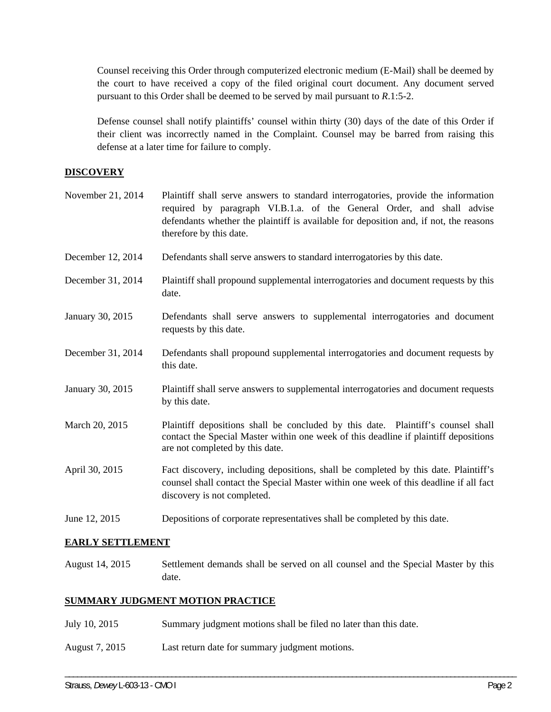Counsel receiving this Order through computerized electronic medium (E-Mail) shall be deemed by the court to have received a copy of the filed original court document. Any document served pursuant to this Order shall be deemed to be served by mail pursuant to *R*.1:5-2.

Defense counsel shall notify plaintiffs' counsel within thirty (30) days of the date of this Order if their client was incorrectly named in the Complaint. Counsel may be barred from raising this defense at a later time for failure to comply.

## **DISCOVERY**

| November 21, 2014 | Plaintiff shall serve answers to standard interrogatories, provide the information<br>required by paragraph VI.B.1.a. of the General Order, and shall advise<br>defendants whether the plaintiff is available for deposition and, if not, the reasons<br>therefore by this date. |  |  |
|-------------------|----------------------------------------------------------------------------------------------------------------------------------------------------------------------------------------------------------------------------------------------------------------------------------|--|--|
| December 12, 2014 | Defendants shall serve answers to standard interrogatories by this date.                                                                                                                                                                                                         |  |  |
| December 31, 2014 | Plaintiff shall propound supplemental interrogatories and document requests by this<br>date.                                                                                                                                                                                     |  |  |
| January 30, 2015  | Defendants shall serve answers to supplemental interrogatories and document<br>requests by this date.                                                                                                                                                                            |  |  |
| December 31, 2014 | Defendants shall propound supplemental interrogatories and document requests by<br>this date.                                                                                                                                                                                    |  |  |
| January 30, 2015  | Plaintiff shall serve answers to supplemental interrogatories and document requests<br>by this date.                                                                                                                                                                             |  |  |
| March 20, 2015    | Plaintiff depositions shall be concluded by this date. Plaintiff's counsel shall<br>contact the Special Master within one week of this deadline if plaintiff depositions<br>are not completed by this date.                                                                      |  |  |
| April 30, 2015    | Fact discovery, including depositions, shall be completed by this date. Plaintiff's<br>counsel shall contact the Special Master within one week of this deadline if all fact<br>discovery is not completed.                                                                      |  |  |
| June 12, 2015     | Depositions of corporate representatives shall be completed by this date.                                                                                                                                                                                                        |  |  |

# **EARLY SETTLEMENT**

August 14, 2015 Settlement demands shall be served on all counsel and the Special Master by this date.

\_\_\_\_\_\_\_\_\_\_\_\_\_\_\_\_\_\_\_\_\_\_\_\_\_\_\_\_\_\_\_\_\_\_\_\_\_\_\_\_\_\_\_\_\_\_\_\_\_\_\_\_\_\_\_\_\_\_\_\_\_\_\_\_\_\_\_\_\_\_\_\_\_\_\_\_\_\_\_\_\_\_\_\_\_\_\_\_\_\_\_\_\_\_\_\_\_\_\_\_\_\_\_\_\_\_\_\_\_\_

# **SUMMARY JUDGMENT MOTION PRACTICE**

- July 10, 2015 Summary judgment motions shall be filed no later than this date.
- August 7, 2015 Last return date for summary judgment motions.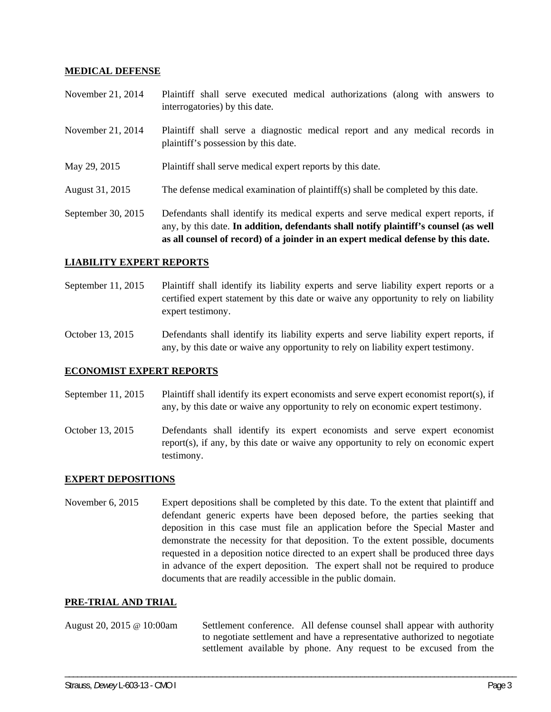### **MEDICAL DEFENSE**

November 21, 2014 Plaintiff shall serve executed medical authorizations (along with answers to interrogatories) by this date.

- November 21, 2014 Plaintiff shall serve a diagnostic medical report and any medical records in plaintiff's possession by this date.
- May 29, 2015 Plaintiff shall serve medical expert reports by this date.
- August 31, 2015 The defense medical examination of plaintiff(s) shall be completed by this date.

September 30, 2015 Defendants shall identify its medical experts and serve medical expert reports, if any, by this date. **In addition, defendants shall notify plaintiff's counsel (as well as all counsel of record) of a joinder in an expert medical defense by this date.** 

## **LIABILITY EXPERT REPORTS**

September 11, 2015 Plaintiff shall identify its liability experts and serve liability expert reports or a certified expert statement by this date or waive any opportunity to rely on liability expert testimony.

October 13, 2015 Defendants shall identify its liability experts and serve liability expert reports, if any, by this date or waive any opportunity to rely on liability expert testimony.

#### **ECONOMIST EXPERT REPORTS**

September 11, 2015 Plaintiff shall identify its expert economists and serve expert economist report(s), if any, by this date or waive any opportunity to rely on economic expert testimony.

October 13, 2015 Defendants shall identify its expert economists and serve expert economist report(s), if any, by this date or waive any opportunity to rely on economic expert testimony.

#### **EXPERT DEPOSITIONS**

November 6, 2015 Expert depositions shall be completed by this date. To the extent that plaintiff and defendant generic experts have been deposed before, the parties seeking that deposition in this case must file an application before the Special Master and demonstrate the necessity for that deposition. To the extent possible, documents requested in a deposition notice directed to an expert shall be produced three days in advance of the expert deposition. The expert shall not be required to produce documents that are readily accessible in the public domain.

#### **PRE-TRIAL AND TRIAL**

August 20, 2015 @ 10:00am Settlement conference. All defense counsel shall appear with authority to negotiate settlement and have a representative authorized to negotiate settlement available by phone. Any request to be excused from the

\_\_\_\_\_\_\_\_\_\_\_\_\_\_\_\_\_\_\_\_\_\_\_\_\_\_\_\_\_\_\_\_\_\_\_\_\_\_\_\_\_\_\_\_\_\_\_\_\_\_\_\_\_\_\_\_\_\_\_\_\_\_\_\_\_\_\_\_\_\_\_\_\_\_\_\_\_\_\_\_\_\_\_\_\_\_\_\_\_\_\_\_\_\_\_\_\_\_\_\_\_\_\_\_\_\_\_\_\_\_